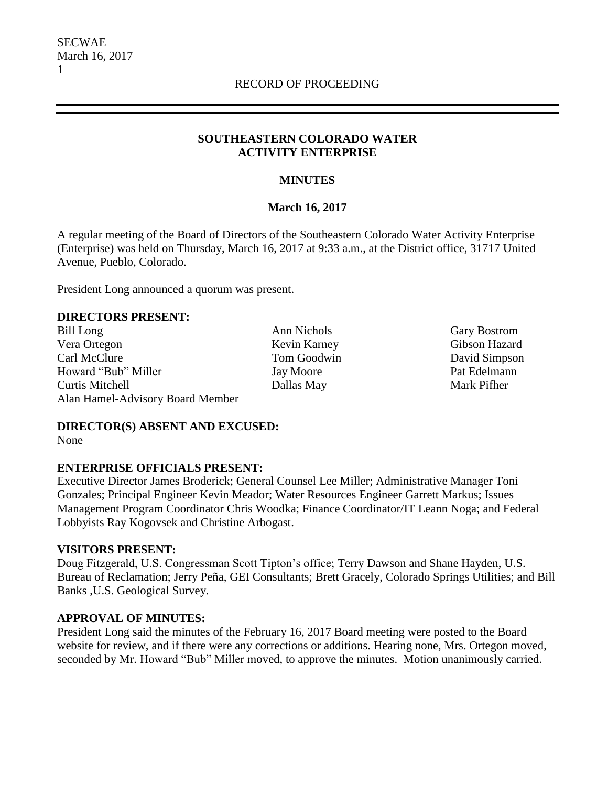## **SOUTHEASTERN COLORADO WATER ACTIVITY ENTERPRISE**

## **MINUTES**

## **March 16, 2017**

A regular meeting of the Board of Directors of the Southeastern Colorado Water Activity Enterprise (Enterprise) was held on Thursday, March 16, 2017 at 9:33 a.m., at the District office, 31717 United Avenue, Pueblo, Colorado.

President Long announced a quorum was present.

#### **DIRECTORS PRESENT:**

Bill Long **Ann Nichols** Gary Bostrom Vera Ortegon Kevin Karney Gibson Hazard Carl McClure Tom Goodwin David Simpson Howard "Bub" Miller Jay Moore Pat Edelmann Curtis Mitchell Dallas May Mark Pifher Alan Hamel-Advisory Board Member

**DIRECTOR(S) ABSENT AND EXCUSED:**

None

## **ENTERPRISE OFFICIALS PRESENT:**

Executive Director James Broderick; General Counsel Lee Miller; Administrative Manager Toni Gonzales; Principal Engineer Kevin Meador; Water Resources Engineer Garrett Markus; Issues Management Program Coordinator Chris Woodka; Finance Coordinator/IT Leann Noga; and Federal Lobbyists Ray Kogovsek and Christine Arbogast.

## **VISITORS PRESENT:**

Doug Fitzgerald, U.S. Congressman Scott Tipton's office; Terry Dawson and Shane Hayden, U.S. Bureau of Reclamation; Jerry Peña, GEI Consultants; Brett Gracely, Colorado Springs Utilities; and Bill Banks ,U.S. Geological Survey.

## **APPROVAL OF MINUTES:**

President Long said the minutes of the February 16, 2017 Board meeting were posted to the Board website for review, and if there were any corrections or additions. Hearing none, Mrs. Ortegon moved, seconded by Mr. Howard "Bub" Miller moved, to approve the minutes. Motion unanimously carried.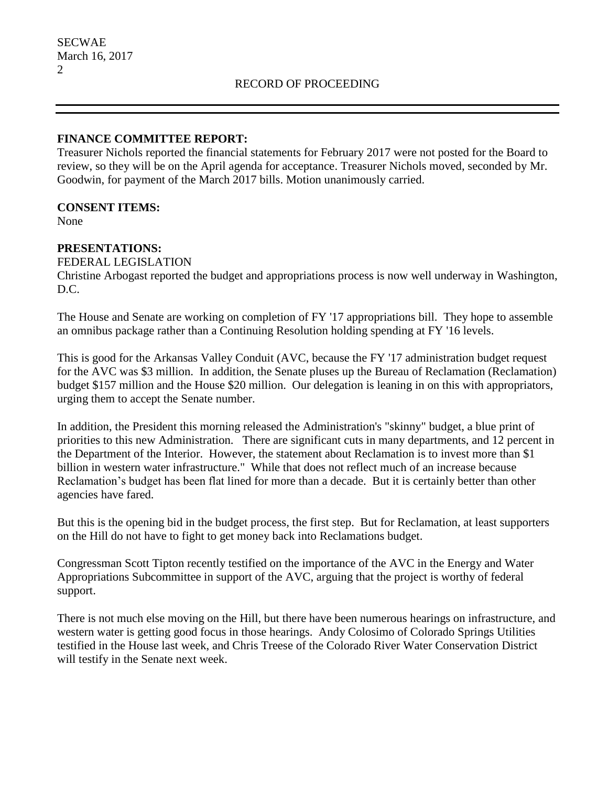## **FINANCE COMMITTEE REPORT:**

Treasurer Nichols reported the financial statements for February 2017 were not posted for the Board to review, so they will be on the April agenda for acceptance. Treasurer Nichols moved, seconded by Mr. Goodwin, for payment of the March 2017 bills. Motion unanimously carried.

## **CONSENT ITEMS:**

None

# **PRESENTATIONS:**

## FEDERAL LEGISLATION

Christine Arbogast reported the budget and appropriations process is now well underway in Washington, D.C.

The House and Senate are working on completion of FY '17 appropriations bill. They hope to assemble an omnibus package rather than a Continuing Resolution holding spending at FY '16 levels.

This is good for the Arkansas Valley Conduit (AVC, because the FY '17 administration budget request for the AVC was \$3 million. In addition, the Senate pluses up the Bureau of Reclamation (Reclamation) budget \$157 million and the House \$20 million. Our delegation is leaning in on this with appropriators, urging them to accept the Senate number.

In addition, the President this morning released the Administration's "skinny" budget, a blue print of priorities to this new Administration. There are significant cuts in many departments, and 12 percent in the Department of the Interior. However, the statement about Reclamation is to invest more than \$1 billion in western water infrastructure." While that does not reflect much of an increase because Reclamation's budget has been flat lined for more than a decade. But it is certainly better than other agencies have fared.

But this is the opening bid in the budget process, the first step. But for Reclamation, at least supporters on the Hill do not have to fight to get money back into Reclamations budget.

Congressman Scott Tipton recently testified on the importance of the AVC in the Energy and Water Appropriations Subcommittee in support of the AVC, arguing that the project is worthy of federal support.

There is not much else moving on the Hill, but there have been numerous hearings on infrastructure, and western water is getting good focus in those hearings. Andy Colosimo of Colorado Springs Utilities testified in the House last week, and Chris Treese of the Colorado River Water Conservation District will testify in the Senate next week.